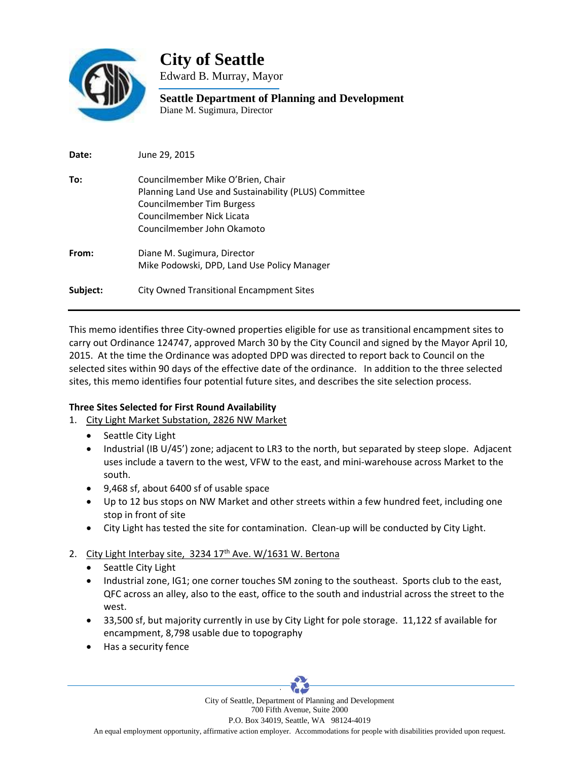

**City of Seattle** 

Edward B. Murray, Mayor

**Seattle Department of Planning and Development**  Diane M. Sugimura, Director

| Date:    | June 29, 2015                                                                                                                                                                      |
|----------|------------------------------------------------------------------------------------------------------------------------------------------------------------------------------------|
| To:      | Councilmember Mike O'Brien, Chair<br>Planning Land Use and Sustainability (PLUS) Committee<br>Councilmember Tim Burgess<br>Councilmember Nick Licata<br>Councilmember John Okamoto |
| From:    | Diane M. Sugimura, Director<br>Mike Podowski, DPD, Land Use Policy Manager                                                                                                         |
| Subject: | City Owned Transitional Encampment Sites                                                                                                                                           |

This memo identifies three City‐owned properties eligible for use as transitional encampment sites to carry out Ordinance 124747, approved March 30 by the City Council and signed by the Mayor April 10, 2015. At the time the Ordinance was adopted DPD was directed to report back to Council on the selected sites within 90 days of the effective date of the ordinance. In addition to the three selected sites, this memo identifies four potential future sites, and describes the site selection process.

## **Three Sites Selected for First Round Availability**

- 1. City Light Market Substation, 2826 NW Market
	- Seattle City Light
	- Industrial (IB U/45') zone; adjacent to LR3 to the north, but separated by steep slope. Adjacent uses include a tavern to the west, VFW to the east, and mini‐warehouse across Market to the south.
	- 9,468 sf, about 6400 sf of usable space
	- Up to 12 bus stops on NW Market and other streets within a few hundred feet, including one stop in front of site
	- City Light has tested the site for contamination. Clean‐up will be conducted by City Light.

## 2. City Light Interbay site,  $3234 17<sup>th</sup>$  Ave. W/1631 W. Bertona

- Seattle City Light
- Industrial zone, IG1; one corner touches SM zoning to the southeast. Sports club to the east, QFC across an alley, also to the east, office to the south and industrial across the street to the west.
- 33,500 sf, but majority currently in use by City Light for pole storage. 11,122 sf available for encampment, 8,798 usable due to topography
- Has a security fence



An equal employment opportunity, affirmative action employer. Accommodations for people with disabilities provided upon request.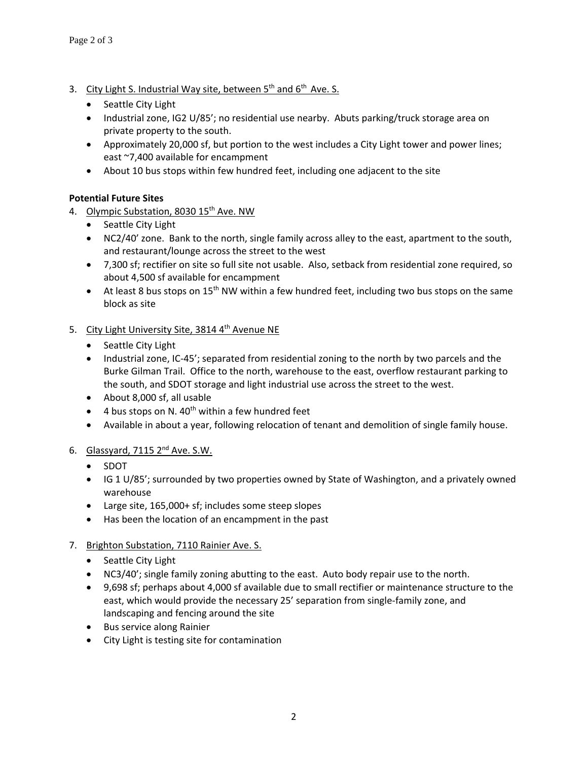- 3. City Light S. Industrial Way site, between  $5<sup>th</sup>$  and  $6<sup>th</sup>$  Ave. S.
	- Seattle City Light
	- Industrial zone, IG2 U/85'; no residential use nearby. Abuts parking/truck storage area on private property to the south.
	- Approximately 20,000 sf, but portion to the west includes a City Light tower and power lines; east ~7,400 available for encampment
	- About 10 bus stops within few hundred feet, including one adjacent to the site

# **Potential Future Sites**

- 4. Olympic Substation, 8030 15<sup>th</sup> Ave. NW
	- Seattle City Light
	- NC2/40' zone. Bank to the north, single family across alley to the east, apartment to the south, and restaurant/lounge across the street to the west
	- 7,300 sf; rectifier on site so full site not usable. Also, setback from residential zone required, so about 4,500 sf available for encampment
	- At least 8 bus stops on 15<sup>th</sup> NW within a few hundred feet, including two bus stops on the same block as site
- 5. City Light University Site, 3814 4<sup>th</sup> Avenue NE
	- Seattle City Light
	- Industrial zone, IC-45'; separated from residential zoning to the north by two parcels and the Burke Gilman Trail. Office to the north, warehouse to the east, overflow restaurant parking to the south, and SDOT storage and light industrial use across the street to the west.
	- About 8,000 sf, all usable
	- $\bullet$  4 bus stops on N. 40<sup>th</sup> within a few hundred feet
	- Available in about a year, following relocation of tenant and demolition of single family house.

## 6. Glassyard,  $7115$   $2^{nd}$  Ave. S.W.

- SDOT
- IG 1 U/85'; surrounded by two properties owned by State of Washington, and a privately owned warehouse
- Large site, 165,000+ sf; includes some steep slopes
- Has been the location of an encampment in the past

## 7. Brighton Substation, 7110 Rainier Ave. S.

- Seattle City Light
- NC3/40'; single family zoning abutting to the east. Auto body repair use to the north.
- 9,698 sf; perhaps about 4,000 sf available due to small rectifier or maintenance structure to the east, which would provide the necessary 25' separation from single-family zone, and landscaping and fencing around the site
- **•** Bus service along Rainier
- City Light is testing site for contamination